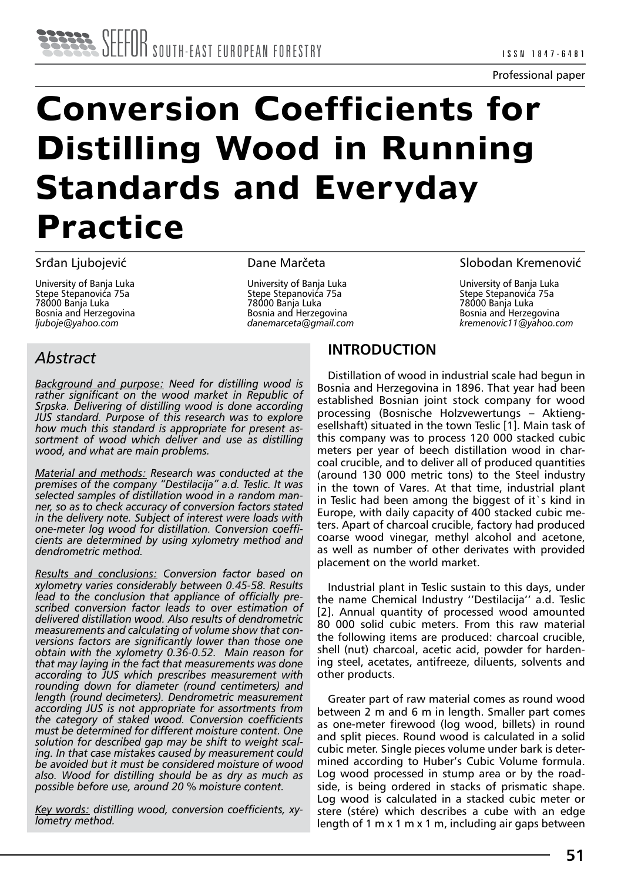# **Conversion Coefficients for Distilling Wood in Running Standards and Everyday Practice**

#### Srđan Ljubojević

University of Banja Luka Stepe Stepanovića 75a 78000 Banja Luka Bosnia and Herzegovina *ljuboje@yahoo.com*

Dane Marčeta

University of Banja Luka Stepe Stepanovića 75a 78000 Banja Luka Bosnia and Herzegovina *danemarceta@gmail.com*

### Slobodan Kremenović

University of Banja Luka Stepe Stepanovića 75a 78000 Banja Luka Bosnia and Herzegovina *kremenovic11@yahoo.com*

## *Abstract*

*Background and purpose: Need for distilling wood is rather significant on the wood market in Republic of Srpska. Delivering of distilling wood is done according JUS standard. Purpose of this research was to explore how much this standard is appropriate for present assortment of wood which deliver and use as distilling wood, and what are main problems.*

*Material and methods: Research was conducted at the premises of the company "Destilacija" a.d. Teslic. It was selected samples of distillation wood in a random manner, so as to check accuracy of conversion factors stated in the delivery note. Subject of interest were loads with one-meter log wood for distillation. Conversion coefficients are determined by using xylometry method and dendrometric method.*

*Results and conclusions: Conversion factor based on xylometry varies considerably between 0.45-58. Results lead to the conclusion that appliance of officially prescribed conversion factor leads to over estimation of delivered distillation wood. Also results of dendrometric measurements and calculating of volume show that conversions factors are significantly lower than those one obtain with the xylometry 0.36-0.52. Main reason for that may laying in the fact that measurements was done according to JUS which prescribes measurement with rounding down for diameter (round centimeters) and length (round decimeters). Dendrometric measurement according JUS is not appropriate for assortments from the category of staked wood. Conversion coefficients must be determined for different moisture content. One solution for described gap may be shift to weight scaling. In that case mistakes caused by measurement could be avoided but it must be considered moisture of wood also. Wood for distilling should be as dry as much as possible before use, around 20 % moisture content.*

*Key words: distilling wood, conversion coefficients, xylometry method.*

## **INTRODUCTION**

Distillation of wood in industrial scale had begun in Bosnia and Herzegovina in 1896. That year had been established Bosnian joint stock company for wood processing (Bosnische Holzvewertungs – Aktiengesellshaft) situated in the town Teslic [1]. Main task of this company was to process 120 000 stacked cubic meters per year of beech distillation wood in charcoal crucible, and to deliver all of produced quantities (around 130 000 metric tons) to the Steel industry in the town of Vares. At that time, industrial plant in Teslic had been among the biggest of it`s kind in Europe, with daily capacity of 400 stacked cubic meters. Apart of charcoal crucible, factory had produced coarse wood vinegar, methyl alcohol and acetone, as well as number of other derivates with provided placement on the world market.

Industrial plant in Teslic sustain to this days, under the name Chemical Industry ''Destilacija'' a.d. Teslic [2]. Annual quantity of processed wood amounted 80 000 solid cubic meters. From this raw material the following items are produced: charcoal crucible, shell (nut) charcoal, acetic acid, powder for hardening steel, acetates, antifreeze, diluents, solvents and other products.

Greater part of raw material comes as round wood between 2 m and 6 m in length. Smaller part comes as one-meter firewood (log wood, billets) in round and split pieces. Round wood is calculated in a solid cubic meter. Single pieces volume under bark is determined according to Huber's Cubic Volume formula. Log wood processed in stump area or by the roadside, is being ordered in stacks of prismatic shape. Log wood is calculated in a stacked cubic meter or stere (stére) which describes a cube with an edge length of 1 m x 1 m x 1 m, including air gaps between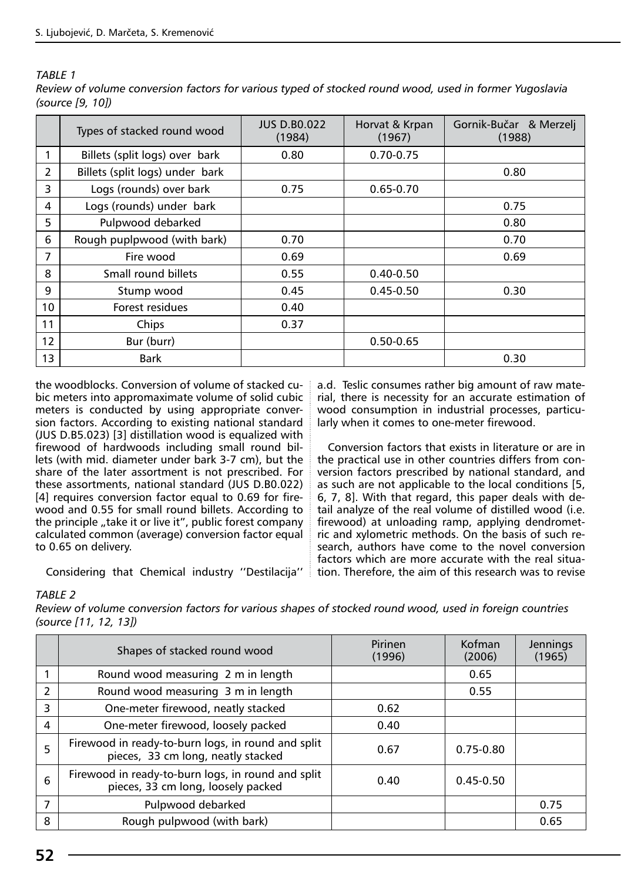*TABLE 1* 

|                 | Types of stacked round wood     | <b>JUS D.BO.022</b><br>(1984) | Horvat & Krpan<br>(1967) | Gornik-Bučar & Merzelj<br>(1988) |  |  |
|-----------------|---------------------------------|-------------------------------|--------------------------|----------------------------------|--|--|
|                 | Billets (split logs) over bark  | 0.80                          | $0.70 - 0.75$            |                                  |  |  |
| 2               | Billets (split logs) under bark |                               |                          | 0.80                             |  |  |
| 3               | Logs (rounds) over bark         | 0.75                          | $0.65 - 0.70$            |                                  |  |  |
| 4               | Logs (rounds) under bark        |                               |                          | 0.75                             |  |  |
| 5               | Pulpwood debarked               |                               |                          | 0.80                             |  |  |
| 6               | Rough puplpwood (with bark)     | 0.70                          |                          | 0.70                             |  |  |
| 7               | Fire wood                       | 0.69                          |                          | 0.69                             |  |  |
| 8               | Small round billets             | 0.55                          | $0.40 - 0.50$            |                                  |  |  |
| 9               | Stump wood                      | 0.45                          | $0.45 - 0.50$            | 0.30                             |  |  |
| 10 <sup>°</sup> | Forest residues                 | 0.40                          |                          |                                  |  |  |
| 11              | Chips                           | 0.37                          |                          |                                  |  |  |
| 12              | Bur (burr)                      |                               | $0.50 - 0.65$            |                                  |  |  |
| 13              | <b>Bark</b>                     |                               |                          | 0.30                             |  |  |

*Review of volume conversion factors for various typed of stocked round wood, used in former Yugoslavia (source [9, 10])*

the woodblocks. Conversion of volume of stacked cubic meters into appromaximate volume of solid cubic meters is conducted by using appropriate conversion factors. According to existing national standard (JUS D.B5.023) [3] distillation wood is equalized with firewood of hardwoods including small round billets (with mid. diameter under bark 3-7 cm), but the share of the later assortment is not prescribed. For these assortments, national standard (JUS D.B0.022) [4] requires conversion factor equal to 0.69 for firewood and 0.55 for small round billets. According to the principle "take it or live it", public forest company calculated common (average) conversion factor equal to 0.65 on delivery.

Considering that Chemical industry ''Destilacija''

a.d. Teslic consumes rather big amount of raw material, there is necessity for an accurate estimation of wood consumption in industrial processes, particularly when it comes to one-meter firewood.

Conversion factors that exists in literature or are in the practical use in other countries differs from conversion factors prescribed by national standard, and as such are not applicable to the local conditions [5, 6, 7, 8]. With that regard, this paper deals with detail analyze of the real volume of distilled wood (i.e. firewood) at unloading ramp, applying dendrometric and xylometric methods. On the basis of such research, authors have come to the novel conversion factors which are more accurate with the real situation. Therefore, the aim of this research was to revise

#### *TABLE 2*

*Review of volume conversion factors for various shapes of stocked round wood, used in foreign countries (source [11, 12, 13])*

|                          | Shapes of stacked round wood                                                             | Pirinen<br>(1996) | Kofman<br>(2006) | Jennings<br>(1965) |
|--------------------------|------------------------------------------------------------------------------------------|-------------------|------------------|--------------------|
|                          | Round wood measuring 2 m in length                                                       |                   | 0.65             |                    |
| $\overline{\phantom{a}}$ | Round wood measuring 3 m in length                                                       |                   | 0.55             |                    |
| 3                        | One-meter firewood, neatly stacked                                                       | 0.62              |                  |                    |
| 4                        | One-meter firewood, loosely packed                                                       | 0.40              |                  |                    |
| 5                        | Firewood in ready-to-burn logs, in round and split<br>pieces, 33 cm long, neatly stacked | 0.67              | $0.75 - 0.80$    |                    |
| 6                        | Firewood in ready-to-burn logs, in round and split<br>pieces, 33 cm long, loosely packed | 0.40              | $0.45 - 0.50$    |                    |
| $\overline{7}$           | Pulpwood debarked                                                                        |                   |                  | 0.75               |
| 8                        | Rough pulpwood (with bark)                                                               |                   |                  | 0.65               |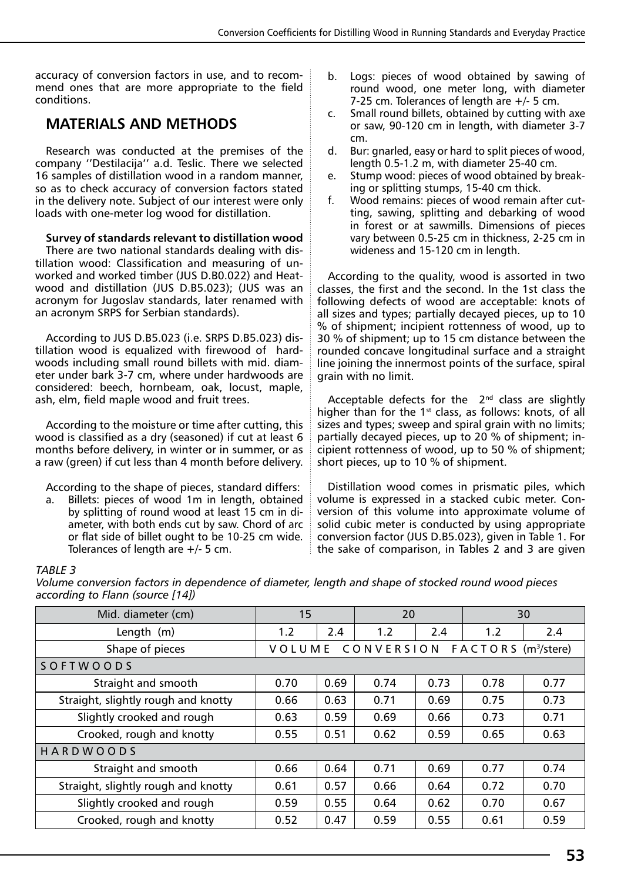accuracy of conversion factors in use, and to recommend ones that are more appropriate to the field conditions.

## **MATERIALS AND METHODS**

Research was conducted at the premises of the company ''Destilacija'' a.d. Teslic. There we selected 16 samples of distillation wood in a random manner, so as to check accuracy of conversion factors stated in the delivery note. Subject of our interest were only loads with one-meter log wood for distillation.

#### **Survey of standards relevant to distillation wood**

There are two national standards dealing with distillation wood: Classification and measuring of unworked and worked timber (JUS D.B0.022) and Heatwood and distillation (JUS D.B5.023); (JUS was an acronym for Jugoslav standards, later renamed with an acronym SRPS for Serbian standards).

According to JUS D.B5.023 (i.e. SRPS D.B5.023) distillation wood is equalized with firewood of hardwoods including small round billets with mid. diameter under bark 3-7 cm, where under hardwoods are considered: beech, hornbeam, oak, locust, maple, ash, elm, field maple wood and fruit trees.

According to the moisture or time after cutting, this wood is classified as a dry (seasoned) if cut at least 6 months before delivery, in winter or in summer, or as a raw (green) if cut less than 4 month before delivery.

According to the shape of pieces, standard differs:

a. Billets: pieces of wood 1m in length, obtained by splitting of round wood at least 15 cm in diameter, with both ends cut by saw. Chord of arc or flat side of billet ought to be 10-25 cm wide. Tolerances of length are +/- 5 cm.

- b. Logs: pieces of wood obtained by sawing of round wood, one meter long, with diameter 7-25 cm. Tolerances of length are +/- 5 cm.
- Small round billets, obtained by cutting with axe or saw, 90-120 cm in length, with diameter 3-7 cm.
- d. Bur: gnarled, easy or hard to split pieces of wood, length 0.5-1.2 m, with diameter 25-40 cm.
- e. Stump wood: pieces of wood obtained by breaking or splitting stumps, 15-40 cm thick.
- f. Wood remains: pieces of wood remain after cutting, sawing, splitting and debarking of wood in forest or at sawmills. Dimensions of pieces vary between 0.5-25 cm in thickness, 2-25 cm in wideness and 15-120 cm in length.

According to the quality, wood is assorted in two classes, the first and the second. In the 1st class the following defects of wood are acceptable: knots of all sizes and types; partially decayed pieces, up to 10 % of shipment; incipient rottenness of wood, up to 30 % of shipment; up to 15 cm distance between the rounded concave longitudinal surface and a straight line joining the innermost points of the surface, spiral grain with no limit.

Acceptable defects for the  $2<sup>nd</sup>$  class are slightly higher than for the  $1<sup>st</sup>$  class, as follows: knots, of all sizes and types; sweep and spiral grain with no limits; partially decayed pieces, up to 20 % of shipment; incipient rottenness of wood, up to 50 % of shipment; short pieces, up to 10 % of shipment.

Distillation wood comes in prismatic piles, which volume is expressed in a stacked cubic meter. Conversion of this volume into approximate volume of solid cubic meter is conducted by using appropriate conversion factor (JUS D.B5.023), given in Table 1. For the sake of comparison, in Tables 2 and 3 are given

#### *TABLE 3*

*Volume conversion factors in dependence of diameter, length and shape of stocked round wood pieces according to Flann (source [14])*

| Mid. diameter (cm)                  | 15                                                              |                   | 20   |      | 30   |      |  |  |  |  |
|-------------------------------------|-----------------------------------------------------------------|-------------------|------|------|------|------|--|--|--|--|
| Length<br>(m)                       | 1.2                                                             | 2.4<br>2.4<br>1.2 |      |      |      | 2.4  |  |  |  |  |
| Shape of pieces                     | CONVERSION<br>$F A C T O R S$ (m <sup>3</sup> /stere)<br>VOLUME |                   |      |      |      |      |  |  |  |  |
| SOFTWOODS                           |                                                                 |                   |      |      |      |      |  |  |  |  |
| Straight and smooth                 | 0.70                                                            | 0.69              | 0.74 | 0.73 | 0.78 | 0.77 |  |  |  |  |
| Straight, slightly rough and knotty | 0.66                                                            | 0.63              | 0.71 | 0.69 | 0.75 | 0.73 |  |  |  |  |
| Slightly crooked and rough          | 0.63                                                            | 0.59              | 0.69 | 0.66 | 0.73 | 0.71 |  |  |  |  |
| Crooked, rough and knotty           | 0.55                                                            | 0.51              | 0.62 | 0.59 | 0.65 | 0.63 |  |  |  |  |
| <b>HARDWOODS</b>                    |                                                                 |                   |      |      |      |      |  |  |  |  |
| Straight and smooth                 | 0.66                                                            | 0.64              | 0.71 | 0.69 | 0.77 | 0.74 |  |  |  |  |
| Straight, slightly rough and knotty | 0.61                                                            | 0.57              | 0.66 | 0.64 | 0.72 | 0.70 |  |  |  |  |
| Slightly crooked and rough          | 0.59                                                            | 0.55              | 0.64 | 0.62 | 0.70 | 0.67 |  |  |  |  |
| Crooked, rough and knotty           | 0.52                                                            | 0.47              | 0.59 | 0.55 | 0.61 | 0.59 |  |  |  |  |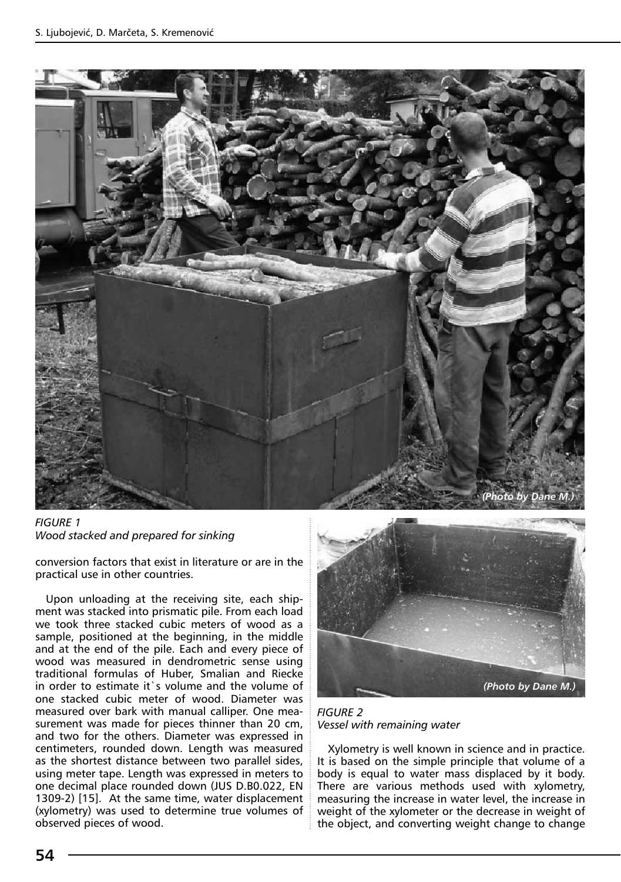

*FIGURE 1 Wood stacked and prepared for sinking* 

conversion factors that exist in literature or are in the practical use in other countries.

Upon unloading at the receiving site, each shipment was stacked into prismatic pile. From each load we took three stacked cubic meters of wood as a sample, positioned at the beginning, in the middle and at the end of the pile. Each and every piece of wood was measured in dendrometric sense using traditional formulas of Huber, Smalian and Riecke in order to estimate it`s volume and the volume of one stacked cubic meter of wood. Diameter was measured over bark with manual calliper. One measurement was made for pieces thinner than 20 cm, and two for the others. Diameter was expressed in centimeters, rounded down. Length was measured as the shortest distance between two parallel sides, using meter tape. Length was expressed in meters to one decimal place rounded down (JUS D.B0.022, EN 1309-2) [15]. At the same time, water displacement (xylometry) was used to determine true volumes of observed pieces of wood.



*FIGURE 2 Vessel with remaining water*

Xylometry is well known in science and in practice. It is based on the simple principle that volume of a body is equal to water mass displaced by it body. There are various methods used with xylometry, measuring the increase in water level, the increase in weight of the xylometer or the decrease in weight of the object, and converting weight change to change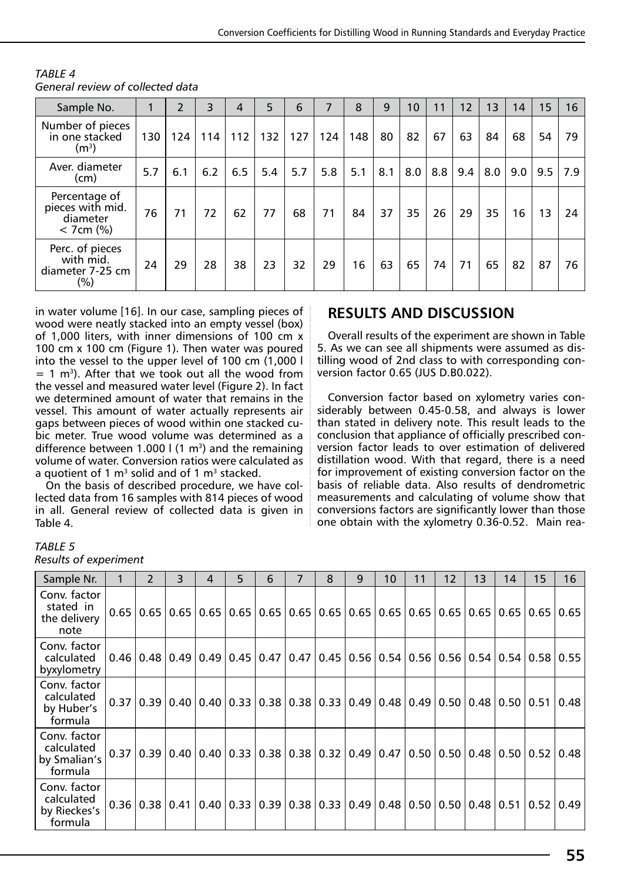| Sample No.                                                   | 1   | $\mathcal{P}$ | 3   | $\overline{4}$ | 5   | 6                | 7   | 8   | 9   | 10  | 11  | 12  | 13  | 14  | 15 | 16          |
|--------------------------------------------------------------|-----|---------------|-----|----------------|-----|------------------|-----|-----|-----|-----|-----|-----|-----|-----|----|-------------|
| Number of pieces<br>in one stacked<br>(m <sup>3</sup> )      | 130 | 124           | 114 | 112            | 132 | 127              | 124 | 148 | 80  | 82  | 67  | 63  | 84  | 68  | 54 | 79          |
| Aver. diameter<br>(cm)                                       | 5.7 | 6.1           | 6.2 | 6.5            | 5.4 | 5.7 <sub>1</sub> | 5.8 | 5.1 | 8.1 | 8.0 | 8.8 | 9.4 | 8.0 | 9.0 |    | $9.5$   7.9 |
| Percentage of<br>pieces with mid.<br>diameter<br>$<$ 7cm (%) | 76  | 71            | 72  | 62             | 77  | 68               | 71  | 84  | 37  | 35  | 26  | 29  | 35  | 16  | 13 | 24          |
| Perc. of pieces<br>with mid.<br>diameter 7-25 cm<br>$(\%)$   | 24  | 29            | 28  | 38             | 23  | 32               | 29  | 16  | 63  | 65  | 74  | 71  | 65  | 82  | 87 | 76          |

*TABLE 4 General review of collected data* 

in water volume [16]. In our case, sampling pieces of wood were neatly stacked into an empty vessel (box) of 1,000 liters, with inner dimensions of 100 cm x 100 cm x 100 cm (Figure 1). Then water was poured into the vessel to the upper level of 100 cm (1,000 l  $= 1$  m<sup>3</sup>). After that we took out all the wood from the vessel and measured water level (Figure 2). In fact we determined amount of water that remains in the vessel. This amount of water actually represents air gaps between pieces of wood within one stacked cubic meter. True wood volume was determined as a difference between 1.000  $\frac{1}{1}$  (1 m<sup>3</sup>) and the remaining volume of water. Conversion ratios were calculated as a quotient of 1  $m<sup>3</sup>$  solid and of 1  $m<sup>3</sup>$  stacked.

On the basis of described procedure, we have collected data from 16 samples with 814 pieces of wood in all. General review of collected data is given in Table 4.

# **RESULTS AND DISCUSSION**

Overall results of the experiment are shown in Table 5. As we can see all shipments were assumed as distilling wood of 2nd class to with corresponding conversion factor 0.65 (JUS D.B0.022).

Conversion factor based on xylometry varies considerably between 0.45-0.58, and always is lower than stated in delivery note. This result leads to the conclusion that appliance of officially prescribed conversion factor leads to over estimation of delivered distillation wood. With that regard, there is a need for improvement of existing conversion factor on the basis of reliable data. Also results of dendrometric measurements and calculating of volume show that conversions factors are significantly lower than those one obtain with the xylometry 0.36-0.52. Main rea-

#### *TABLE 5*

*Results of experiment*

| Sample Nr.                                            |      | $\mathcal{P}$                                                                | 3.   | 4 | 5                                  | 6 | 7 | 8 | 9                                                | 10            | 11   | 12   | 13                          | 14                   | 15                       | 16   |
|-------------------------------------------------------|------|------------------------------------------------------------------------------|------|---|------------------------------------|---|---|---|--------------------------------------------------|---------------|------|------|-----------------------------|----------------------|--------------------------|------|
| Conv. factor<br>stated in<br>the delivery<br>note     | 0.65 | 0.65                                                                         | 0.65 |   |                                    |   |   |   | $0.65$   0.65   0.65   0.65   0.65   0.65   0.65 |               | 0.65 | 0.65 |                             |                      | $0.65$   $0.65$   $0.65$ | 0.65 |
| Conv. factor<br>calculated<br>byxylometry             |      | $0.46$   0.48   0.49   0.49   0.45   0.47   0.47   0.45   0.56   0.54   0.56 |      |   |                                    |   |   |   |                                                  |               |      |      | $0.56$   0.54   0.54   0.58 |                      |                          | 0.55 |
| Conv. factor<br>calculated<br>by Huber's<br>formula   | 0.37 | 0.39 0.40 0.40 0.33 0.38 0.38 0.33                                           |      |   |                                    |   |   |   |                                                  | $0.49$   0.48 | 0.49 |      | $0.50$   0.48   0.50   0.51 |                      |                          | 0.48 |
| Conv. factor<br>calculated<br>by Smalian's<br>formula | 0.37 | 0.39   0.40   0.40   0.33   0.38   0.38   0.32   0.49   0.47                 |      |   |                                    |   |   |   |                                                  |               | 0.50 | 0.50 |                             |                      | $0.48$ $0.50$ $0.52$     | 0.48 |
| Conv. factor<br>calculated<br>by Rieckes's<br>formula |      | 0.36   0.38   0.41                                                           |      |   | $0.40$   0.33   0.39   0.38   0.33 |   |   |   |                                                  | $0.49$   0.48 | 0.50 | 0.50 |                             | $0.48$ $0.51$ $0.52$ |                          | 0.49 |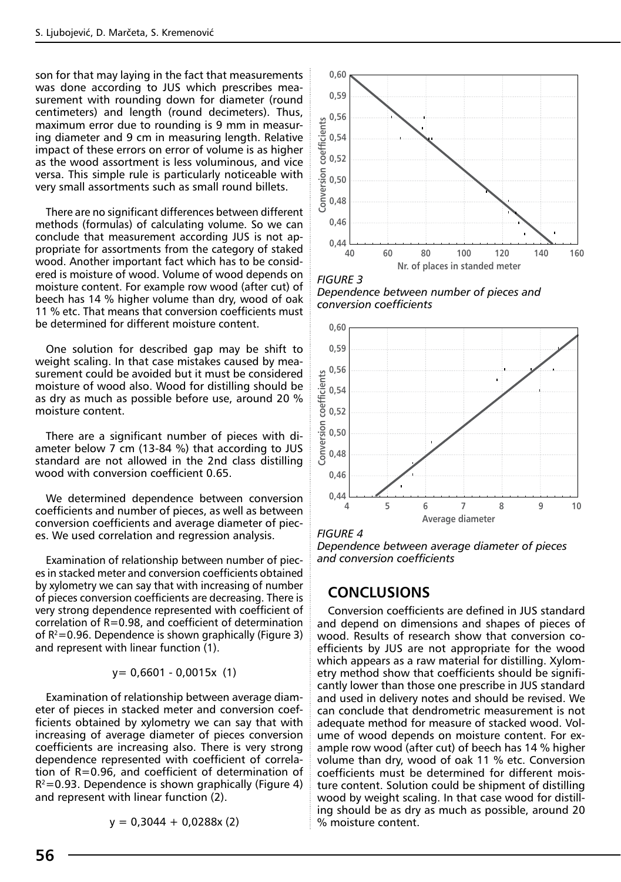son for that may laying in the fact that measurements was done according to JUS which prescribes measurement with rounding down for diameter (round centimeters) and length (round decimeters). Thus, maximum error due to rounding is 9 mm in measuring diameter and 9 cm in measuring length. Relative impact of these errors on error of volume is as higher as the wood assortment is less voluminous, and vice versa. This simple rule is particularly noticeable with very small assortments such as small round billets.

There are no significant differences between different methods (formulas) of calculating volume. So we can conclude that measurement according JUS is not appropriate for assortments from the category of staked wood. Another important fact which has to be considered is moisture of wood. Volume of wood depends on moisture content. For example row wood (after cut) of beech has 14 % higher volume than dry, wood of oak 11 % etc. That means that conversion coefficients must be determined for different moisture content.

One solution for described gap may be shift to weight scaling. In that case mistakes caused by measurement could be avoided but it must be considered moisture of wood also. Wood for distilling should be as dry as much as possible before use, around 20 % moisture content.

There are a significant number of pieces with diameter below 7 cm (13-84 %) that according to JUS standard are not allowed in the 2nd class distilling wood with conversion coefficient 0.65.

We determined dependence between conversion coefficients and number of pieces, as well as between conversion coefficients and average diameter of pieces. We used correlation and regression analysis.

Examination of relationship between number of pieces in stacked meter and conversion coefficients obtained by xylometry we can say that with increasing of number of pieces conversion coefficients are decreasing. There is very strong dependence represented with coefficient of correlation of R=0.98, and coefficient of determination of  $R^2$ =0.96. Dependence is shown graphically (Figure 3) and represent with linear function (1).

$$
y = 0,6601 - 0,0015x (1)
$$

Examination of relationship between average diameter of pieces in stacked meter and conversion coefficients obtained by xylometry we can say that with increasing of average diameter of pieces conversion coefficients are increasing also. There is very strong dependence represented with coefficient of correlation of R=0.96, and coefficient of determination of  $R^2$ =0.93. Dependence is shown graphically (Figure 4) and represent with linear function (2).

 $y = 0,3044 + 0,0288x(2)$ 



*FIGURE 3 Dependence between number of pieces and conversion coefficients*



*FIGURE 4* 

*Dependence between average diameter of pieces and conversion coefficients*

## **CONCLUSIONS**

Conversion coefficients are defined in JUS standard and depend on dimensions and shapes of pieces of wood. Results of research show that conversion coefficients by JUS are not appropriate for the wood which appears as a raw material for distilling. Xylometry method show that coefficients should be significantly lower than those one prescribe in JUS standard and used in delivery notes and should be revised. We can conclude that dendrometric measurement is not adequate method for measure of stacked wood. Volume of wood depends on moisture content. For example row wood (after cut) of beech has 14 % higher volume than dry, wood of oak 11 % etc. Conversion coefficients must be determined for different moisture content. Solution could be shipment of distilling wood by weight scaling. In that case wood for distilling should be as dry as much as possible, around 20 % moisture content.